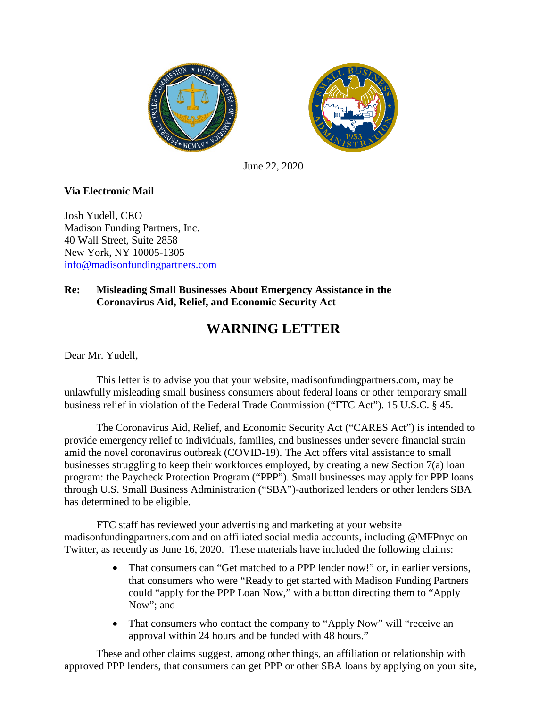



June 22, 2020

## **Via Electronic Mail**

Josh Yudell, CEO Madison Funding Partners, Inc. 40 Wall Street, Suite 2858 New York, NY 10005-1305 [info@madisonfundingpartners.com](mailto:info@madisonfundingpartners.com)

## **Re: Misleading Small Businesses About Emergency Assistance in the Coronavirus Aid, Relief, and Economic Security Act**

## **WARNING LETTER**

Dear Mr. Yudell,

This letter is to advise you that your website, madisonfundingpartners.com, may be unlawfully misleading small business consumers about federal loans or other temporary small business relief in violation of the Federal Trade Commission ("FTC Act"). 15 U.S.C. § 45.

The Coronavirus Aid, Relief, and Economic Security Act ("CARES Act") is intended to provide emergency relief to individuals, families, and businesses under severe financial strain amid the novel coronavirus outbreak (COVID-19). The Act offers vital assistance to small businesses struggling to keep their workforces employed, by creating a new Section 7(a) loan program: the Paycheck Protection Program ("PPP"). Small businesses may apply for PPP loans through U.S. Small Business Administration ("SBA")-authorized lenders or other lenders SBA has determined to be eligible.

FTC staff has reviewed your advertising and marketing at your website madisonfundingpartners.com and on affiliated social media accounts, including @MFPnyc on Twitter, as recently as June 16, 2020. These materials have included the following claims:

- That consumers can "Get matched to a PPP lender now!" or, in earlier versions, that consumers who were "Ready to get started with Madison Funding Partners could "apply for the PPP Loan Now," with a button directing them to "Apply Now"; and
- That consumers who contact the company to "Apply Now" will "receive an approval within 24 hours and be funded with 48 hours."

These and other claims suggest, among other things, an affiliation or relationship with approved PPP lenders, that consumers can get PPP or other SBA loans by applying on your site,